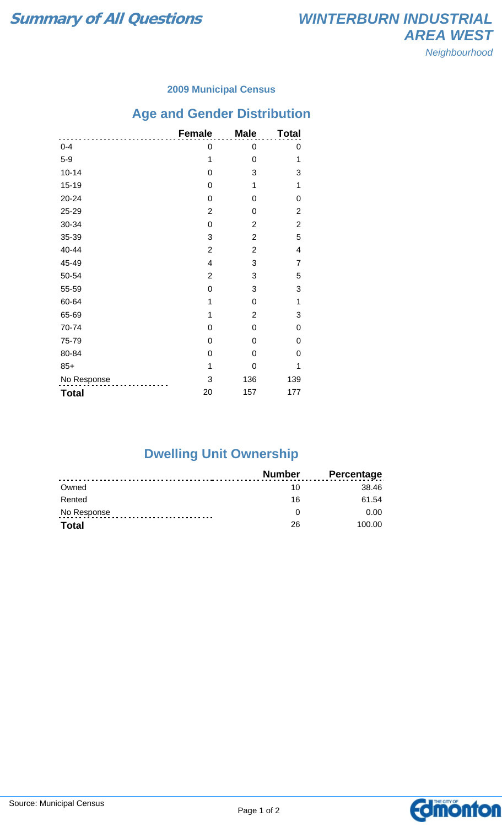#### **2009 Municipal Census**

# **Age and Gender Distribution**

|              | <b>Female</b>           | <b>Male</b>    | <b>Total</b>   |
|--------------|-------------------------|----------------|----------------|
| $0 - 4$      | 0                       | 0              | 0              |
| $5-9$        | 1                       | 0              | 1              |
| $10 - 14$    | 0                       | 3              | 3              |
| $15 - 19$    | 0                       | 1              | 1              |
| $20 - 24$    | 0                       | 0              | 0              |
| 25-29        | $\overline{2}$          | 0              | 2              |
| 30-34        | 0                       | $\overline{2}$ | $\overline{2}$ |
| 35-39        | 3                       | $\overline{2}$ | 5              |
| 40-44        | $\overline{2}$          | $\overline{2}$ | 4              |
| 45-49        | $\overline{\mathbf{4}}$ | 3              | 7              |
| 50-54        | $\overline{2}$          | 3              | 5              |
| 55-59        | 0                       | 3              | 3              |
| 60-64        | 1                       | $\overline{0}$ | 1              |
| 65-69        | 1                       | $\overline{2}$ | 3              |
| 70-74        | 0                       | 0              | 0              |
| 75-79        | 0                       | 0              | 0              |
| 80-84        | 0                       | $\Omega$       | 0              |
| $85+$        | 1                       | 0              | 1              |
| No Response  | 3                       | 136            | 139            |
| <b>Total</b> | 20                      | 157            | 177            |

### **Dwelling Unit Ownership**

|              | <b>Number</b> | <b>Percentage</b> |
|--------------|---------------|-------------------|
| Owned        | 10            | 38.46             |
| Rented       | 16            | 61.54             |
| No Response  |               | 0.00              |
| <b>Total</b> | 26            | 100.00            |